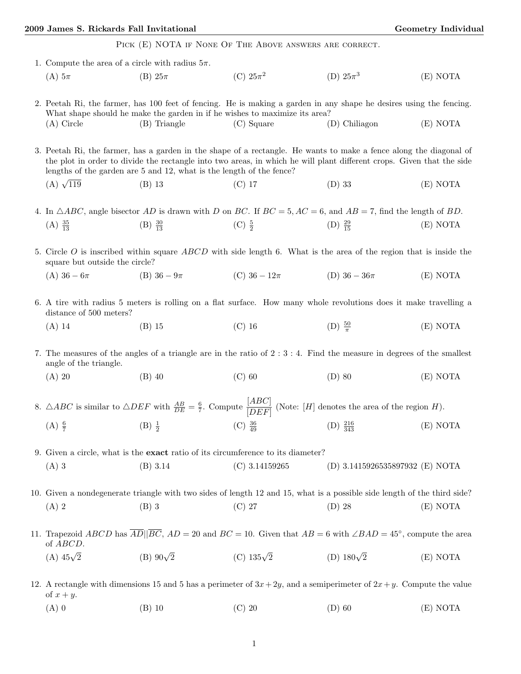## 2009 James S. Rickards Fall Invitational Geometry Individual Geometry Individual

PICK (E) NOTA IF NONE OF THE ABOVE ANSWERS ARE CORRECT.

| 1. Compute the area of a circle with radius $5\pi$ .                                                                                                                                                                                                                                                                |                     |                                                                                         |                                                                                                                          |          |  |  |
|---------------------------------------------------------------------------------------------------------------------------------------------------------------------------------------------------------------------------------------------------------------------------------------------------------------------|---------------------|-----------------------------------------------------------------------------------------|--------------------------------------------------------------------------------------------------------------------------|----------|--|--|
| $(A)$ 5 $\pi$                                                                                                                                                                                                                                                                                                       | (B) $25\pi$         | (C) $25\pi^2$                                                                           | (D) $25\pi^3$                                                                                                            | (E) NOTA |  |  |
|                                                                                                                                                                                                                                                                                                                     |                     | What shape should he make the garden in if he wishes to maximize its area?              | 2. Peetah Ri, the farmer, has 100 feet of fencing. He is making a garden in any shape he desires using the fencing.      |          |  |  |
| $(A)$ Circle                                                                                                                                                                                                                                                                                                        | (B) Triangle        | $(C)$ Square                                                                            | (D) Chiliagon                                                                                                            | (E) NOTA |  |  |
| 3. Peetah Ri, the farmer, has a garden in the shape of a rectangle. He wants to make a fence along the diagonal of<br>the plot in order to divide the rectangle into two areas, in which he will plant different crops. Given that the side<br>lengths of the garden are 5 and 12, what is the length of the fence? |                     |                                                                                         |                                                                                                                          |          |  |  |
| (A) $\sqrt{119}$                                                                                                                                                                                                                                                                                                    | $(B)$ 13            | $(C)$ 17                                                                                | $(D)$ 33                                                                                                                 | (E) NOTA |  |  |
| 4. In $\triangle ABC$ , angle bisector AD is drawn with D on BC. If $BC = 5$ , $AC = 6$ , and $AB = 7$ , find the length of BD.                                                                                                                                                                                     |                     |                                                                                         |                                                                                                                          |          |  |  |
| $(A) \frac{35}{13}$                                                                                                                                                                                                                                                                                                 | $(B) \frac{30}{13}$ | (C) $\frac{5}{2}$                                                                       | (D) $\frac{29}{15}$                                                                                                      | (E) NOTA |  |  |
|                                                                                                                                                                                                                                                                                                                     |                     |                                                                                         |                                                                                                                          |          |  |  |
| 5. Circle $O$ is inscribed within square ABCD with side length 6. What is the area of the region that is inside the<br>square but outside the circle?                                                                                                                                                               |                     |                                                                                         |                                                                                                                          |          |  |  |
| (A) $36-6\pi$                                                                                                                                                                                                                                                                                                       | (B) $36-9\pi$       | (C) $36-12\pi$                                                                          | (D) $36-36\pi$                                                                                                           | (E) NOTA |  |  |
| 6. A tire with radius 5 meters is rolling on a flat surface. How many whole revolutions does it make travelling a<br>distance of 500 meters?                                                                                                                                                                        |                     |                                                                                         |                                                                                                                          |          |  |  |
| $(A)$ 14                                                                                                                                                                                                                                                                                                            | $(B)$ 15            | $(C)$ 16                                                                                | (D) $\frac{50}{\pi}$                                                                                                     | (E) NOTA |  |  |
| 7. The measures of the angles of a triangle are in the ratio of $2:3:4$ . Find the measure in degrees of the smallest<br>angle of the triangle.                                                                                                                                                                     |                     |                                                                                         |                                                                                                                          |          |  |  |
| $(A)$ 20                                                                                                                                                                                                                                                                                                            | $(B)$ 40            | $(C)$ 60                                                                                | $(D)$ 80                                                                                                                 | (E) NOTA |  |  |
| 8. $\triangle ABC$ is similar to $\triangle DEF$ with $\frac{AB}{DE} = \frac{6}{7}$ . Compute $\frac{[ABC]}{[DEF]}$<br>(Note: $[H]$ denotes the area of the region $H).$                                                                                                                                            |                     |                                                                                         |                                                                                                                          |          |  |  |
| $(A) \frac{6}{7}$                                                                                                                                                                                                                                                                                                   | $(B) \frac{1}{2}$   | (C) $\frac{36}{49}$                                                                     | $(D) \frac{216}{343}$                                                                                                    | (E) NOTA |  |  |
|                                                                                                                                                                                                                                                                                                                     |                     | 9. Given a circle, what is the <b>exact</b> ratio of its circumference to its diameter? |                                                                                                                          |          |  |  |
| $(A)$ 3                                                                                                                                                                                                                                                                                                             | (B) 3.14            | $(C)$ 3.14159265                                                                        | (D) 3.1415926535897932 (E) NOTA                                                                                          |          |  |  |
|                                                                                                                                                                                                                                                                                                                     |                     |                                                                                         |                                                                                                                          |          |  |  |
|                                                                                                                                                                                                                                                                                                                     |                     |                                                                                         | 10. Given a nondegenerate triangle with two sides of length 12 and 15, what is a possible side length of the third side? |          |  |  |
| $(A)$ 2                                                                                                                                                                                                                                                                                                             | $(B)$ 3             | $(C)$ 27                                                                                | $(D)$ 28                                                                                                                 | (E) NOTA |  |  |
| 11. Trapezoid ABCD has $\overline{AD}$ $ \overline{BC}$ , $AD = 20$ and $BC = 10$ . Given that $AB = 6$ with $\angle BAD = 45^{\circ}$ , compute the area<br>of ABCD.                                                                                                                                               |                     |                                                                                         |                                                                                                                          |          |  |  |
| (A) $45\sqrt{2}$                                                                                                                                                                                                                                                                                                    | (B) $90\sqrt{2}$    | (C) $135\sqrt{2}$                                                                       | (D) $180\sqrt{2}$                                                                                                        | (E) NOTA |  |  |
| 12. A rectangle with dimensions 15 and 5 has a perimeter of $3x + 2y$ , and a semiperimeter of $2x + y$ . Compute the value<br>of $x + y$ .                                                                                                                                                                         |                     |                                                                                         |                                                                                                                          |          |  |  |
| $(A)$ 0                                                                                                                                                                                                                                                                                                             | $(B)$ 10            | $(C)$ 20                                                                                | $(D)$ 60                                                                                                                 | (E) NOTA |  |  |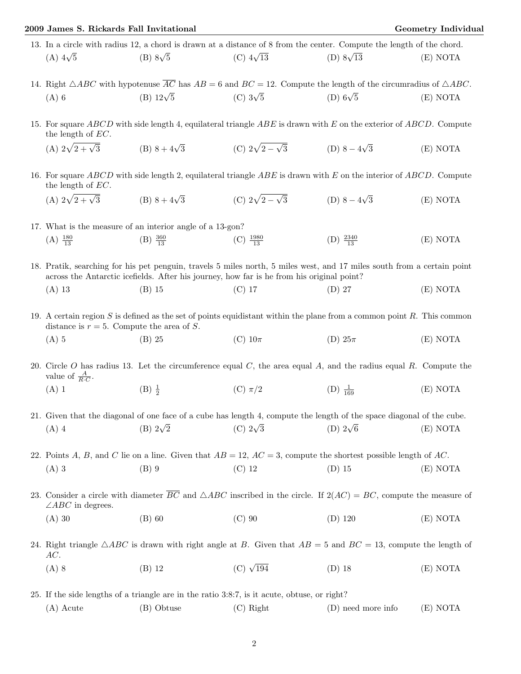## 2009 James S. Rickards Fall Invitational Geometry Individual

 $(E) NOTA$ 

|                 | 13. In a circle with radius 12, a chord is drawn at a distance of 8 from the center. Compute the length of the chord. |                  |                  |          |
|-----------------|-----------------------------------------------------------------------------------------------------------------------|------------------|------------------|----------|
| (A) $4\sqrt{5}$ | (B) $8\sqrt{5}$                                                                                                       | (C) $4\sqrt{13}$ | (D) $8\sqrt{13}$ | (E) NOTA |

14. Right  $\triangle ABC$  with hypotenuse  $\overline{AC}$  has  $AB = 6$  and  $BC = 12$ . Compute the length of the circumradius of  $\triangle ABC$ . (A) 6 (B)  $12\sqrt{5}$  (C)  $3\sqrt{5}$  (D)  $6\sqrt{5}$  (E) NOTA

15. For square *ABCD* with side length 4, equilateral triangle *ABE* is drawn with *E* on the exterior of *ABCD*. Compute the length of *EC*.

- (A)  $2\sqrt{2+\sqrt{3}}$  (B)  $8+4\sqrt{3}$  (C)  $2\sqrt{2-\sqrt{3}}$  (D)  $8-4\sqrt{3}$ <sup>√</sup>3 (E) NOTA
- 16. For square *ABCD* with side length 2, equilateral triangle *ABE* is drawn with *E* on the interior of *ABCD*. Compute the length of *EC*.

(A) 
$$
2\sqrt{2+\sqrt{3}}
$$
 (B)  $8+4\sqrt{3}$  (C)  $2\sqrt{2-\sqrt{3}}$  (D)  $8-4\sqrt{3}$  (E) NOTA

17. What is the measure of an interior angle of a 13-gon?  $(A) \frac{180}{13}$  $(B) \frac{360}{13}$  $(C) \frac{1980}{13}$ (D)  $\frac{2340}{13}$ 

18. Pratik, searching for his pet penguin, travels 5 miles north, 5 miles west, and 17 miles south from a certain point across the Antarctic icefields. After his journey, how far is he from his original point?

- (A) 13 (B) 15 (C) 17 (D) 27 (E) NOTA
- 19. A certain region *S* is defined as the set of points equidistant within the plane from a common point *R*. This common distance is  $r = 5$ . Compute the area of *S*.
	- (A) 5 (B) 25 (C)  $10\pi$  (D)  $25\pi$  (E) NOTA

20. Circle *O* has radius 13. Let the circumference equal *C*, the area equal *A*, and the radius equal *R*. Compute the value of  $\frac{A}{R \cdot C}$ .

- (A) 1 (B)  $\frac{1}{2}$ (C)  $\pi/2$  (D)  $\frac{1}{169}$  $(E) NOTA$
- 21. Given that the diagonal of one face of a cube has length 4, compute the length of the space diagonal of the cube. (A) 4 (B)  $2\sqrt{2}$  (C)  $2\sqrt{3}$  (D)  $2\sqrt{6}$  (E) NOTA

22. Points *A*, *B*, and *C* lie on a line. Given that *AB* = 12, *AC* = 3, compute the shortest possible length of *AC*. (A) 3 (B) 9 (C) 12 (D) 15 (E) NOTA

23. Consider a circle with diameter  $\overline{BC}$  and  $\triangle ABC$  inscribed in the circle. If  $2(AC) = BC$ , compute the measure of ∠*ABC* in degrees.

- (A) 30 (B) 60 (C) 90 (D) 120 (E) NOTA
- 24. Right triangle  $\triangle ABC$  is drawn with right angle at *B*. Given that  $AB = 5$  and  $BC = 13$ , compute the length of *AC*.
	- (A) 8 (B) 12 (C)  $\sqrt{194}$  (D) 18 (E) NOTA
- 25. If the side lengths of a triangle are in the ratio 3:8:7, is it acute, obtuse, or right? (A) Acute (B) Obtuse (C) Right (D) need more info (E) NOTA